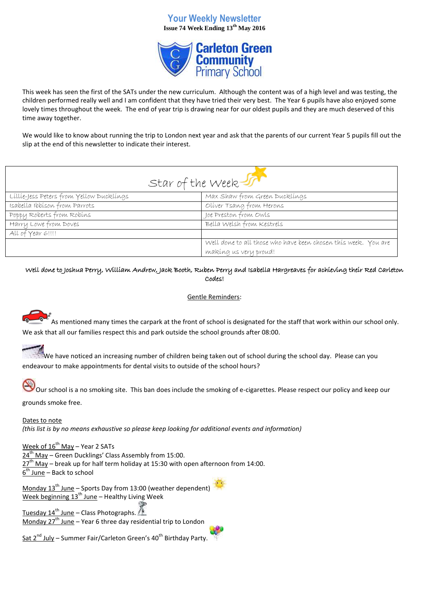# **Your Weekly Newsletter Issue 74 Week Ending 13th May 2016**



This week has seen the first of the SATs under the new curriculum. Although the content was of a high level and was testing, the children performed really well and I am confident that they have tried their very best. The Year 6 pupils have also enjoyed some lovely times throughout the week. The end of year trip is drawing near for our oldest pupils and they are much deserved of this time away together.

We would like to know about running the trip to London next year and ask that the parents of our current Year 5 pupils fill out the slip at the end of this newsletter to indicate their interest.

| Star of the Week                         |                                                                                         |
|------------------------------------------|-----------------------------------------------------------------------------------------|
| Lillie-Jess Peters from Yellow Ducklings | Max Shaw from Green Ducklings                                                           |
| Isabella Ibbíson from Parrots            | Oliver Tsang from Herons                                                                |
| Poppy Roberts from Robins                | Joe Preston from Owls                                                                   |
| Harry Lowe from Doves                    | Bella Welsh from Kestrels                                                               |
| All of Year 6!!!!                        |                                                                                         |
|                                          | Well done to all those who have been chosen this week. You are<br>making us very proud! |

## Well done to Joshua Perry, William Andrew, Jack Booth, Ruben Perry and Isabella Hargreaves for achieving their Red Carleton Codes!

## Gentle Reminders:

As mentioned many times the carpark at the front of school is designated for the staff that work within our school only. We ask that all our families respect this and park outside the school grounds after 08:00.

We have noticed an increasing number of children being taken out of school during the school day. Please can you endeavour to make appointments for dental visits to outside of the school hours?

Our school is a no smoking site. This ban does include the smoking of e-cigarettes. Please respect our policy and keep our

grounds smoke free.

Dates to note *(this list is by no means exhaustive so please keep looking for additional events and information)*

Week of  $16^{th}$  May – Year 2 SATs 24<sup>th</sup> May – Green Ducklings' Class Assembly from 15:00.  $27<sup>th</sup>$  May – break up for half term holiday at 15:30 with open afternoon from 14:00. <u>6<sup>th</sup> June</u> – Back to school

Monday  $13^{th}$  June – Sports Day from 13:00 (weather dependent) Week beginning  $13^{th}$  June – Healthy Living Week

Tuesday  $14^{th}$  June – Class Photographs. Monday 27<sup>th</sup> June – Year 6 three day residential trip to London

Sat  $2^{nd}$  July – Summer Fair/Carleton Green's  $40^{th}$  Birthday Party.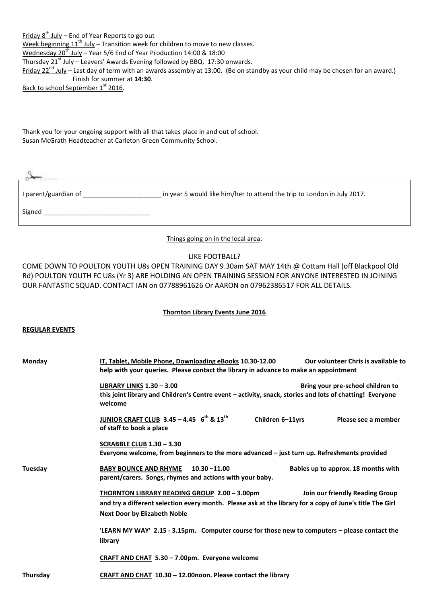Friday  $8^{th}$  July – End of Year Reports to go out Week beginning 11<sup>th</sup> July – Transition week for children to move to new classes.  ${\sf Wednessday}$  20 $^{\rm th}$  July – Year 5/6 End of Year Production 14:00 & 18:00 Thursday  $21^{st}$  July – Leavers' Awards Evening followed by BBQ. 17:30 onwards. Friday  $22^{nd}$  July – Last day of term with an awards assembly at 13:00. (Be on standby as your child may be chosen for an award.) Finish for summer at **14:30**.

Back to school September 1st 2016.

Thank you for your ongoing support with all that takes place in and out of school. Susan McGrath Headteacher at Carleton Green Community School.

| I parent/guardian of | in year 5 would like him/her to attend the trip to London in July 2017. |
|----------------------|-------------------------------------------------------------------------|
| Signed               |                                                                         |

Things going on in the local area:

#### LIKE FOOTBALL?

COME DOWN TO POULTON YOUTH U8s OPEN TRAINING DAY 9.30am SAT MAY 14th @ Cottam Hall (off Blackpool Old Rd) POULTON YOUTH FC U8s (Yr 3) ARE HOLDING AN OPEN TRAINING SESSION FOR ANYONE INTERESTED IN JOINING OUR FANTASTIC SQUAD. CONTACT IAN on 07788961626 Or AARON on 07962386517 FOR ALL DETAILS.

#### **Thornton Library Events June 2016**

#### **REGULAR EVENTS**

| Monday   | Our volunteer Chris is available to<br>IT, Tablet, Mobile Phone, Downloading eBooks 10.30-12.00<br>help with your queries. Please contact the library in advance to make an appointment                                            |
|----------|------------------------------------------------------------------------------------------------------------------------------------------------------------------------------------------------------------------------------------|
|          | LIBRARY LINKS 1.30 - 3.00<br>Bring your pre-school children to<br>this joint library and Children's Centre event - activity, snack, stories and lots of chatting! Everyone<br>welcome                                              |
|          | JUNIOR CRAFT CLUB $3.45 - 4.45$ 6 <sup>th</sup> & 13 <sup>th</sup><br>Children 6-11yrs<br>Please see a member<br>of staff to book a place                                                                                          |
|          | <b>SCRABBLE CLUB 1.30 - 3.30</b><br>Everyone welcome, from beginners to the more advanced - just turn up. Refreshments provided                                                                                                    |
| Tuesday  | <b>BABY BOUNCE AND RHYME</b><br>$10.30 - 11.00$<br>Babies up to approx. 18 months with<br>parent/carers. Songs, rhymes and actions with your baby.                                                                                 |
|          | THORNTON LIBRARY READING GROUP 2.00 - 3.00pm<br>Join our friendly Reading Group<br>and try a different selection every month. Please ask at the library for a copy of June's title The Girl<br><b>Next Door by Elizabeth Noble</b> |
|          | 'LEARN MY WAY' 2.15 - 3.15pm. Computer course for those new to computers - please contact the<br>library                                                                                                                           |
|          | CRAFT AND CHAT 5.30 - 7.00pm. Everyone welcome                                                                                                                                                                                     |
| Thursday | CRAFT AND CHAT 10.30 - 12.00noon. Please contact the library                                                                                                                                                                       |